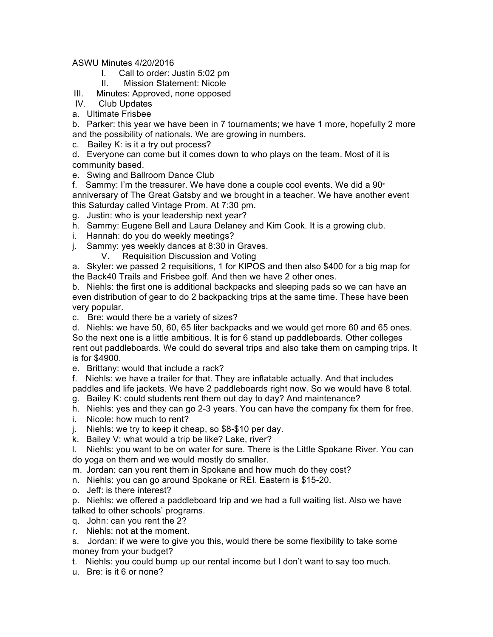ASWU Minutes 4/20/2016

- I. Call to order: Justin 5:02 pm
- II. Mission Statement: Nicole

III. Minutes: Approved, none opposed

- IV. Club Updates
- a. Ultimate Frisbee

b. Parker: this year we have been in 7 tournaments; we have 1 more, hopefully 2 more and the possibility of nationals. We are growing in numbers.

c. Bailey K: is it a try out process?

d. Everyone can come but it comes down to who plays on the team. Most of it is community based.

e. Swing and Ballroom Dance Club

f. Sammy: I'm the treasurer. We have done a couple cool events. We did a  $90<sup>n</sup>$ anniversary of The Great Gatsby and we brought in a teacher. We have another event this Saturday called Vintage Prom. At 7:30 pm.

- g. Justin: who is your leadership next year?
- h. Sammy: Eugene Bell and Laura Delaney and Kim Cook. It is a growing club.
- i. Hannah: do you do weekly meetings?
- j. Sammy: yes weekly dances at 8:30 in Graves.
	- V. Requisition Discussion and Voting

a. Skyler: we passed 2 requisitions, 1 for KIPOS and then also \$400 for a big map for the Back40 Trails and Frisbee golf. And then we have 2 other ones.

b. Niehls: the first one is additional backpacks and sleeping pads so we can have an even distribution of gear to do 2 backpacking trips at the same time. These have been very popular.

- c. Bre: would there be a variety of sizes?
- d. Niehls: we have 50, 60, 65 liter backpacks and we would get more 60 and 65 ones. So the next one is a little ambitious. It is for 6 stand up paddleboards. Other colleges rent out paddleboards. We could do several trips and also take them on camping trips. It is for \$4900.
- e. Brittany: would that include a rack?

f. Niehls: we have a trailer for that. They are inflatable actually. And that includes paddles and life jackets. We have 2 paddleboards right now. So we would have 8 total.

- g. Bailey K: could students rent them out day to day? And maintenance?
- h. Niehls: yes and they can go 2-3 years. You can have the company fix them for free.
- i. Nicole: how much to rent?
- j. Niehls: we try to keep it cheap, so \$8-\$10 per day.
- k. Bailey V: what would a trip be like? Lake, river?

l. Niehls: you want to be on water for sure. There is the Little Spokane River. You can do yoga on them and we would mostly do smaller.

- m. Jordan: can you rent them in Spokane and how much do they cost?
- n. Niehls: you can go around Spokane or REI. Eastern is \$15-20.
- o. Jeff: is there interest?

p. Niehls: we offered a paddleboard trip and we had a full waiting list. Also we have talked to other schools' programs.

- q. John: can you rent the 2?
- r. Niehls: not at the moment.

s. Jordan: if we were to give you this, would there be some flexibility to take some money from your budget?

- t. Niehls: you could bump up our rental income but I don't want to say too much.
- u. Bre: is it 6 or none?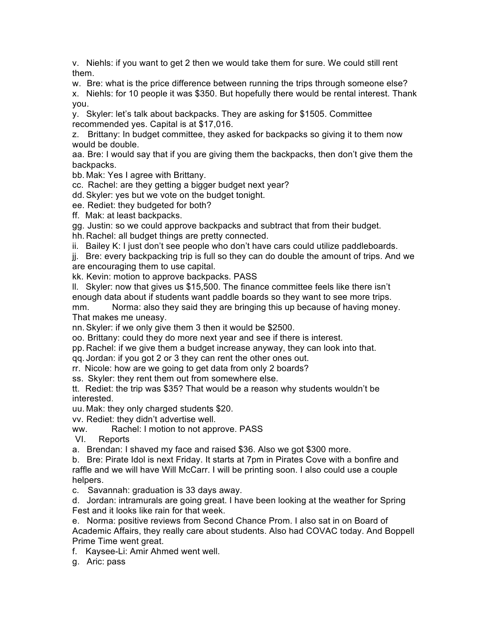v. Niehls: if you want to get 2 then we would take them for sure. We could still rent them.

w. Bre: what is the price difference between running the trips through someone else? x. Niehls: for 10 people it was \$350. But hopefully there would be rental interest. Thank you.

y. Skyler: let's talk about backpacks. They are asking for \$1505. Committee recommended yes. Capital is at \$17,016.

z. Brittany: In budget committee, they asked for backpacks so giving it to them now would be double.

aa. Bre: I would say that if you are giving them the backpacks, then don't give them the backpacks.

bb. Mak: Yes I agree with Brittany.

cc. Rachel: are they getting a bigger budget next year?

dd. Skyler: yes but we vote on the budget tonight.

ee. Rediet: they budgeted for both?

ff. Mak: at least backpacks.

gg. Justin: so we could approve backpacks and subtract that from their budget.

hh. Rachel: all budget things are pretty connected.

ii. Bailey K: I just don't see people who don't have cars could utilize paddleboards.

jj. Bre: every backpacking trip is full so they can do double the amount of trips. And we are encouraging them to use capital.

kk. Kevin: motion to approve backpacks. PASS

ll. Skyler: now that gives us \$15,500. The finance committee feels like there isn't enough data about if students want paddle boards so they want to see more trips.

mm. Norma: also they said they are bringing this up because of having money. That makes me uneasy.

nn. Skyler: if we only give them 3 then it would be \$2500.

oo. Brittany: could they do more next year and see if there is interest.

pp. Rachel: if we give them a budget increase anyway, they can look into that.

qq. Jordan: if you got 2 or 3 they can rent the other ones out.

rr. Nicole: how are we going to get data from only 2 boards?

ss. Skyler: they rent them out from somewhere else.

tt. Rediet: the trip was \$35? That would be a reason why students wouldn't be interested.

uu. Mak: they only charged students \$20.

vv. Rediet: they didn't advertise well.

ww. Rachel: I motion to not approve. PASS

VI. Reports

a. Brendan: I shaved my face and raised \$36. Also we got \$300 more.

b. Bre: Pirate Idol is next Friday. It starts at 7pm in Pirates Cove with a bonfire and raffle and we will have Will McCarr. I will be printing soon. I also could use a couple helpers.

c. Savannah: graduation is 33 days away.

d. Jordan: intramurals are going great. I have been looking at the weather for Spring Fest and it looks like rain for that week.

e. Norma: positive reviews from Second Chance Prom. I also sat in on Board of Academic Affairs, they really care about students. Also had COVAC today. And Boppell Prime Time went great.

f. Kaysee-Li: Amir Ahmed went well.

g. Aric: pass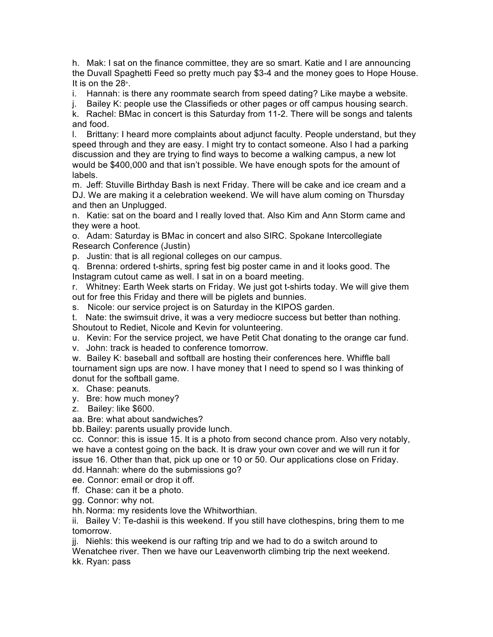h. Mak: I sat on the finance committee, they are so smart. Katie and I are announcing the Duvall Spaghetti Feed so pretty much pay \$3-4 and the money goes to Hope House. It is on the  $28<sup>th</sup>$ .

i. Hannah: is there any roommate search from speed dating? Like maybe a website.

j. Bailey K: people use the Classifieds or other pages or off campus housing search.

k. Rachel: BMac in concert is this Saturday from 11-2. There will be songs and talents and food.

l. Brittany: I heard more complaints about adjunct faculty. People understand, but they speed through and they are easy. I might try to contact someone. Also I had a parking discussion and they are trying to find ways to become a walking campus, a new lot would be \$400,000 and that isn't possible. We have enough spots for the amount of labels.

m. Jeff: Stuville Birthday Bash is next Friday. There will be cake and ice cream and a DJ. We are making it a celebration weekend. We will have alum coming on Thursday and then an Unplugged.

n. Katie: sat on the board and I really loved that. Also Kim and Ann Storm came and they were a hoot.

o. Adam: Saturday is BMac in concert and also SIRC. Spokane Intercollegiate Research Conference (Justin)

p. Justin: that is all regional colleges on our campus.

q. Brenna: ordered t-shirts, spring fest big poster came in and it looks good. The Instagram cutout came as well. I sat in on a board meeting.

r. Whitney: Earth Week starts on Friday. We just got t-shirts today. We will give them out for free this Friday and there will be piglets and bunnies.

s. Nicole: our service project is on Saturday in the KIPOS garden.

t. Nate: the swimsuit drive, it was a very mediocre success but better than nothing. Shoutout to Rediet, Nicole and Kevin for volunteering.

u. Kevin: For the service project, we have Petit Chat donating to the orange car fund.

v. John: track is headed to conference tomorrow.

w. Bailey K: baseball and softball are hosting their conferences here. Whiffle ball tournament sign ups are now. I have money that I need to spend so I was thinking of donut for the softball game.

x. Chase: peanuts.

y. Bre: how much money?

z. Bailey: like \$600.

aa. Bre: what about sandwiches?

bb. Bailey: parents usually provide lunch.

cc. Connor: this is issue 15. It is a photo from second chance prom. Also very notably, we have a contest going on the back. It is draw your own cover and we will run it for issue 16. Other than that, pick up one or 10 or 50. Our applications close on Friday.

dd. Hannah: where do the submissions go?

ee. Connor: email or drop it off.

ff. Chase: can it be a photo.

gg. Connor: why not.

hh. Norma: my residents love the Whitworthian.

ii. Bailey V: Te-dashii is this weekend. If you still have clothespins, bring them to me tomorrow.

jj. Niehls: this weekend is our rafting trip and we had to do a switch around to

Wenatchee river. Then we have our Leavenworth climbing trip the next weekend. kk. Ryan: pass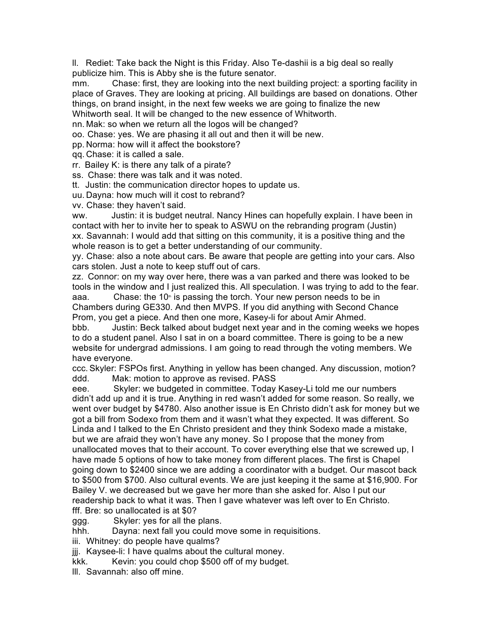ll. Rediet: Take back the Night is this Friday. Also Te-dashii is a big deal so really publicize him. This is Abby she is the future senator.

mm. Chase: first, they are looking into the next building project: a sporting facility in place of Graves. They are looking at pricing. All buildings are based on donations. Other things, on brand insight, in the next few weeks we are going to finalize the new Whitworth seal. It will be changed to the new essence of Whitworth.

nn. Mak: so when we return all the logos will be changed?

oo. Chase: yes. We are phasing it all out and then it will be new.

pp. Norma: how will it affect the bookstore?

qq. Chase: it is called a sale.

rr. Bailey K: is there any talk of a pirate?

ss. Chase: there was talk and it was noted.

tt. Justin: the communication director hopes to update us.

uu. Dayna: how much will it cost to rebrand?

vv. Chase: they haven't said.

ww. Justin: it is budget neutral. Nancy Hines can hopefully explain. I have been in contact with her to invite her to speak to ASWU on the rebranding program (Justin) xx. Savannah: I would add that sitting on this community, it is a positive thing and the whole reason is to get a better understanding of our community.

yy. Chase: also a note about cars. Be aware that people are getting into your cars. Also cars stolen. Just a note to keep stuff out of cars.

zz. Connor: on my way over here, there was a van parked and there was looked to be tools in the window and I just realized this. All speculation. I was trying to add to the fear.

aaa. Chase: the 10 $\degree$  is passing the torch. Your new person needs to be in Chambers during GE330. And then MVPS. If you did anything with Second Chance Prom, you get a piece. And then one more, Kasey-li for about Amir Ahmed.

bbb. Justin: Beck talked about budget next year and in the coming weeks we hopes to do a student panel. Also I sat in on a board committee. There is going to be a new website for undergrad admissions. I am going to read through the voting members. We have everyone.

ccc. Skyler: FSPOs first. Anything in yellow has been changed. Any discussion, motion? ddd. Mak: motion to approve as revised. PASS

eee. Skyler: we budgeted in committee. Today Kasey-Li told me our numbers didn't add up and it is true. Anything in red wasn't added for some reason. So really, we went over budget by \$4780. Also another issue is En Christo didn't ask for money but we got a bill from Sodexo from them and it wasn't what they expected. It was different. So Linda and I talked to the En Christo president and they think Sodexo made a mistake, but we are afraid they won't have any money. So I propose that the money from unallocated moves that to their account. To cover everything else that we screwed up, I have made 5 options of how to take money from different places. The first is Chapel going down to \$2400 since we are adding a coordinator with a budget. Our mascot back to \$500 from \$700. Also cultural events. We are just keeping it the same at \$16,900. For Bailey V. we decreased but we gave her more than she asked for. Also I put our readership back to what it was. Then I gave whatever was left over to En Christo. fff. Bre: so unallocated is at \$0?

ggg. Skyler: yes for all the plans.

hhh. Dayna: next fall you could move some in requisitions.

iii. Whitney: do people have qualms?

jjj. Kaysee-li: I have qualms about the cultural money.

kkk. Kevin: you could chop \$500 off of my budget.

lll. Savannah: also off mine.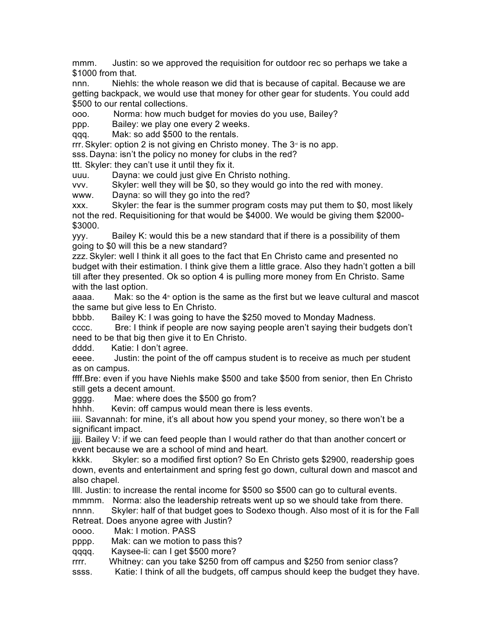mmm. Justin: so we approved the requisition for outdoor rec so perhaps we take a \$1000 from that.

nnn. Niehls: the whole reason we did that is because of capital. Because we are getting backpack, we would use that money for other gear for students. You could add \$500 to our rental collections.

ooo. Norma: how much budget for movies do you use, Bailey?

ppp. Bailey: we play one every 2 weeks.

qqq. Mak: so add \$500 to the rentals.

rrr. Skyler: option 2 is not giving en Christo money. The  $3<sup>a</sup>$  is no app.

sss. Dayna: isn't the policy no money for clubs in the red?

ttt. Skyler: they can't use it until they fix it.

uuu. Dayna: we could just give En Christo nothing.

vvv. Skyler: well they will be \$0, so they would go into the red with money.

www. Dayna: so will they go into the red?

xxx. Skyler: the fear is the summer program costs may put them to \$0, most likely not the red. Requisitioning for that would be \$4000. We would be giving them \$2000- \$3000.

yyy. Bailey K: would this be a new standard that if there is a possibility of them going to \$0 will this be a new standard?

zzz. Skyler: well I think it all goes to the fact that En Christo came and presented no budget with their estimation. I think give them a little grace. Also they hadn't gotten a bill till after they presented. Ok so option 4 is pulling more money from En Christo. Same with the last option.

aaaa. Mak: so the  $4<sup>*</sup>$  option is the same as the first but we leave cultural and mascot the same but give less to En Christo.

bbbb. Bailey K: I was going to have the \$250 moved to Monday Madness.

cccc. Bre: I think if people are now saying people aren't saying their budgets don't need to be that big then give it to En Christo.

dddd. Katie: I don't agree.

eeee. Justin: the point of the off campus student is to receive as much per student as on campus.

ffff.Bre: even if you have Niehls make \$500 and take \$500 from senior, then En Christo still gets a decent amount.

gggg. Mae: where does the \$500 go from?

hhhh. Kevin: off campus would mean there is less events.

iiii. Savannah: for mine, it's all about how you spend your money, so there won't be a significant impact.

jjjj. Bailey V: if we can feed people than I would rather do that than another concert or event because we are a school of mind and heart.

kkkk. Skyler: so a modified first option? So En Christo gets \$2900, readership goes down, events and entertainment and spring fest go down, cultural down and mascot and also chapel.

llll. Justin: to increase the rental income for \$500 so \$500 can go to cultural events. mmmm. Norma: also the leadership retreats went up so we should take from there.

nnnn. Skyler: half of that budget goes to Sodexo though. Also most of it is for the Fall Retreat. Does anyone agree with Justin?

oooo. Mak: I motion. PASS

pppp. Mak: can we motion to pass this?

qqqq. Kaysee-li: can I get \$500 more?

rrrr. Whitney: can you take \$250 from off campus and \$250 from senior class?

ssss. Katie: I think of all the budgets, off campus should keep the budget they have.